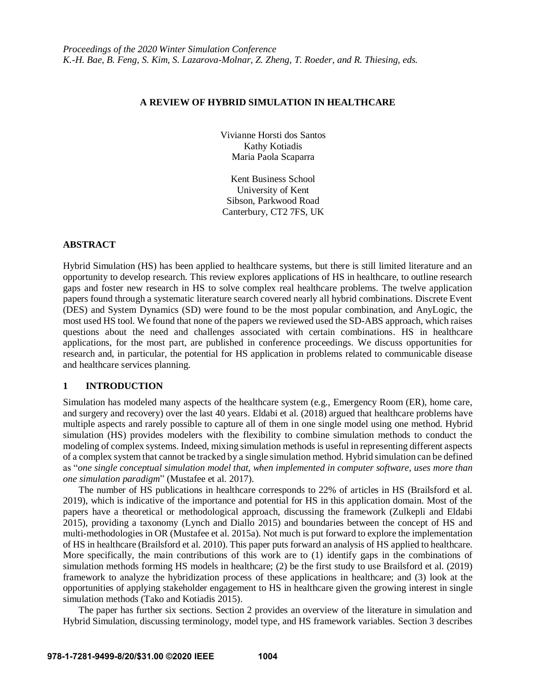## **A REVIEW OF HYBRID SIMULATION IN HEALTHCARE**

Vivianne Horsti dos Santos Kathy Kotiadis Maria Paola Scaparra

Kent Business School University of Kent Sibson, Parkwood Road Canterbury, CT2 7FS, UK

## **ABSTRACT**

Hybrid Simulation (HS) has been applied to healthcare systems, but there is still limited literature and an opportunity to develop research. This review explores applications of HS in healthcare, to outline research gaps and foster new research in HS to solve complex real healthcare problems. The twelve application papers found through a systematic literature search covered nearly all hybrid combinations. Discrete Event (DES) and System Dynamics (SD) were found to be the most popular combination, and AnyLogic, the most used HS tool. We found that none of the papers we reviewed used the SD-ABS approach, which raises questions about the need and challenges associated with certain combinations. HS in healthcare applications, for the most part, are published in conference proceedings. We discuss opportunities for research and, in particular, the potential for HS application in problems related to communicable disease and healthcare services planning.

# **1 INTRODUCTION**

Simulation has modeled many aspects of the healthcare system (e.g., Emergency Room (ER), home care, and surgery and recovery) over the last 40 years. Eldabi et al. (2018) argued that healthcare problems have multiple aspects and rarely possible to capture all of them in one single model using one method. Hybrid simulation (HS) provides modelers with the flexibility to combine simulation methods to conduct the modeling of complex systems. Indeed, mixing simulation methods is useful in representing different aspects of a complex system that cannot be tracked by a single simulation method. Hybrid simulation can be defined as "*one single conceptual simulation model that, when implemented in computer software, uses more than one simulation paradigm*" (Mustafee et al. 2017).

The number of HS publications in healthcare corresponds to 22% of articles in HS (Brailsford et al. 2019), which is indicative of the importance and potential for HS in this application domain. Most of the papers have a theoretical or methodological approach, discussing the framework (Zulkepli and Eldabi 2015), providing a taxonomy (Lynch and Diallo 2015) and boundaries between the concept of HS and multi-methodologies in OR (Mustafee et al. 2015a). Not much is put forward to explore the implementation of HS in healthcare (Brailsford et al. 2010). This paper puts forward an analysis of HS applied to healthcare. More specifically, the main contributions of this work are to (1) identify gaps in the combinations of simulation methods forming HS models in healthcare; (2) be the first study to use Brailsford et al. (2019) framework to analyze the hybridization process of these applications in healthcare; and (3) look at the opportunities of applying stakeholder engagement to HS in healthcare given the growing interest in single simulation methods (Tako and Kotiadis 2015).

The paper has further six sections. Section 2 provides an overview of the literature in simulation and Hybrid Simulation, discussing terminology, model type, and HS framework variables. Section 3 describes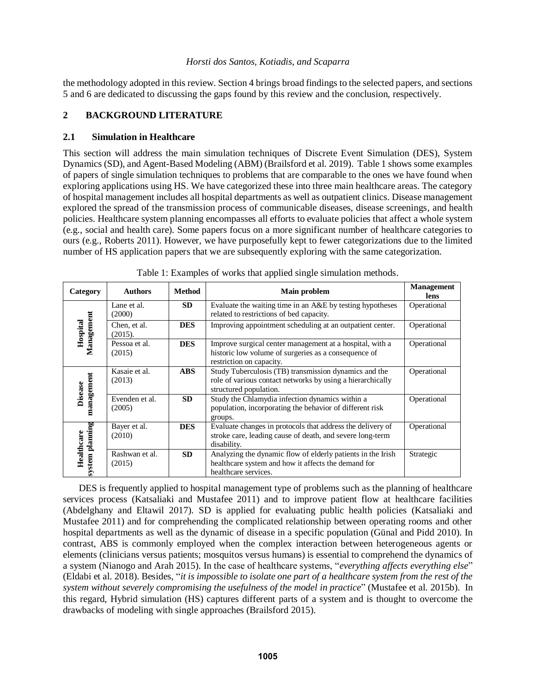the methodology adopted in this review. Section 4 brings broad findings to the selected papers, and sections 5 and 6 are dedicated to discussing the gaps found by this review and the conclusion, respectively.

# **2 BACKGROUND LITERATURE**

# **2.1 Simulation in Healthcare**

This section will address the main simulation techniques of Discrete Event Simulation (DES), System Dynamics (SD), and Agent-Based Modeling (ABM) (Brailsford et al. 2019). Table 1 shows some examples of papers of single simulation techniques to problems that are comparable to the ones we have found when exploring applications using HS. We have categorized these into three main healthcare areas. The category of hospital management includes all hospital departments as well as outpatient clinics. Disease management explored the spread of the transmission process of communicable diseases, disease screenings, and health policies. Healthcare system planning encompasses all efforts to evaluate policies that affect a whole system (e.g., social and health care). Some papers focus on a more significant number of healthcare categories to ours (e.g., Roberts 2011). However, we have purposefully kept to fewer categorizations due to the limited number of HS application papers that we are subsequently exploring with the same categorization.

| Category                      | <b>Authors</b>           | <b>Method</b>                                                           | Main problem                                                                                                                                  | <b>Management</b><br>lens |
|-------------------------------|--------------------------|-------------------------------------------------------------------------|-----------------------------------------------------------------------------------------------------------------------------------------------|---------------------------|
| Management<br>Hospital        | Lane et al.<br>(2000)    | <b>SD</b>                                                               | Evaluate the waiting time in an A&E by testing hypotheses<br>related to restrictions of bed capacity.                                         | Operational               |
|                               | Chen, et al.<br>(2015).  | <b>DES</b><br>Improving appointment scheduling at an outpatient center. |                                                                                                                                               | Operational               |
|                               | Pessoa et al.<br>(2015)  | <b>DES</b>                                                              | Improve surgical center management at a hospital, with a<br>historic low volume of surgeries as a consequence of<br>restriction on capacity.  | Operational               |
| management<br><b>Disease</b>  | Kasaie et al.<br>(2013)  | <b>ABS</b>                                                              | Study Tuberculosis (TB) transmission dynamics and the<br>role of various contact networks by using a hierarchically<br>structured population. | Operational               |
|                               | Evenden et al.<br>(2005) | <b>SD</b>                                                               | Study the Chlamydia infection dynamics within a<br>population, incorporating the behavior of different risk<br>groups.                        | Operational               |
| system planning<br>Healthcare | Bayer et al.<br>(2010)   | <b>DES</b>                                                              | Evaluate changes in protocols that address the delivery of<br>stroke care, leading cause of death, and severe long-term<br>disability.        | Operational               |
|                               | Rashwan et al.<br>(2015) | <b>SD</b>                                                               | Analyzing the dynamic flow of elderly patients in the Irish<br>healthcare system and how it affects the demand for<br>healthcare services.    | Strategic                 |

|  | Table 1: Examples of works that applied single simulation methods. |
|--|--------------------------------------------------------------------|
|  |                                                                    |

DES is frequently applied to hospital management type of problems such as the planning of healthcare services process (Katsaliaki and Mustafee 2011) and to improve patient flow at healthcare facilities (Abdelghany and Eltawil 2017). SD is applied for evaluating public health policies (Katsaliaki and Mustafee 2011) and for comprehending the complicated relationship between operating rooms and other hospital departments as well as the dynamic of disease in a specific population (Günal and Pidd 2010). In contrast, ABS is commonly employed when the complex interaction between heterogeneous agents or elements (clinicians versus patients; mosquitos versus humans) is essential to comprehend the dynamics of a system (Nianogo and Arah 2015). In the case of healthcare systems, "*everything affects everything else*" (Eldabi et al. 2018). Besides, "*it is impossible to isolate one part of a healthcare system from the rest of the system without severely compromising the usefulness of the model in practice*" (Mustafee et al. 2015b). In this regard, Hybrid simulation (HS) captures different parts of a system and is thought to overcome the drawbacks of modeling with single approaches (Brailsford 2015).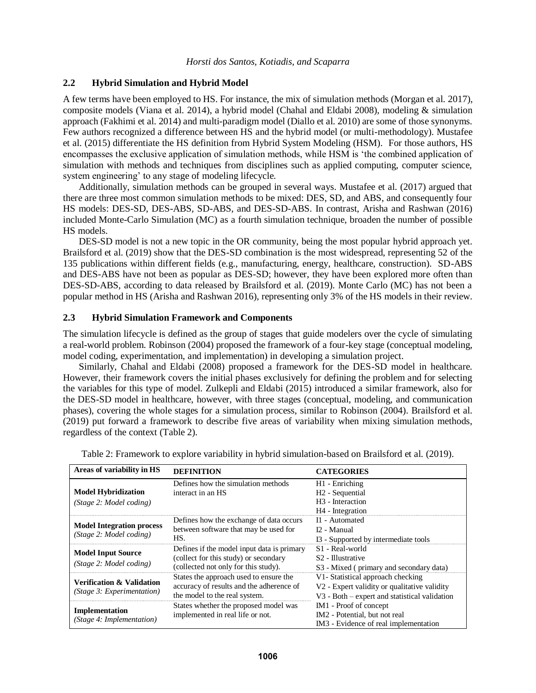## **2.2 Hybrid Simulation and Hybrid Model**

A few terms have been employed to HS. For instance, the mix of simulation methods (Morgan et al. 2017), composite models (Viana et al. 2014), a hybrid model (Chahal and Eldabi 2008), modeling & simulation approach (Fakhimi et al. 2014) and multi-paradigm model (Diallo et al. 2010) are some of those synonyms. Few authors recognized a difference between HS and the hybrid model (or multi-methodology). Mustafee et al. (2015) differentiate the HS definition from Hybrid System Modeling (HSM). For those authors, HS encompasses the exclusive application of simulation methods, while HSM is 'the combined application of simulation with methods and techniques from disciplines such as applied computing, computer science, system engineering' to any stage of modeling lifecycle.

Additionally, simulation methods can be grouped in several ways. Mustafee et al. (2017) argued that there are three most common simulation methods to be mixed: DES, SD, and ABS, and consequently four HS models: DES-SD, DES-ABS, SD-ABS, and DES-SD-ABS. In contrast, Arisha and Rashwan (2016) included Monte-Carlo Simulation (MC) as a fourth simulation technique, broaden the number of possible HS models.

DES-SD model is not a new topic in the OR community, being the most popular hybrid approach yet. Brailsford et al. (2019) show that the DES-SD combination is the most widespread, representing 52 of the 135 publications within different fields (e.g., manufacturing, energy, healthcare, construction). SD-ABS and DES-ABS have not been as popular as DES-SD; however, they have been explored more often than DES-SD-ABS, according to data released by Brailsford et al. (2019). Monte Carlo (MC) has not been a popular method in HS (Arisha and Rashwan 2016), representing only 3% of the HS models in their review.

#### **2.3 Hybrid Simulation Framework and Components**

The simulation lifecycle is defined as the group of stages that guide modelers over the cycle of simulating a real-world problem. Robinson (2004) proposed the framework of a four-key stage (conceptual modeling, model coding, experimentation, and implementation) in developing a simulation project.

Similarly, Chahal and Eldabi (2008) proposed a framework for the DES-SD model in healthcare. However, their framework covers the initial phases exclusively for defining the problem and for selecting the variables for this type of model. Zulkepli and Eldabi (2015) introduced a similar framework, also for the DES-SD model in healthcare, however, with three stages (conceptual, modeling, and communication phases), covering the whole stages for a simulation process, similar to Robinson (2004). Brailsford et al. (2019) put forward a framework to describe five areas of variability when mixing simulation methods, regardless of the context (Table 2).

| Areas of variability in HS                                  | <b>DEFINITION</b>                          | <b>CATEGORIES</b>                                 |  |
|-------------------------------------------------------------|--------------------------------------------|---------------------------------------------------|--|
|                                                             | Defines how the simulation methods         | H <sub>1</sub> - Enriching                        |  |
| <b>Model Hybridization</b>                                  | interact in an HS                          | H <sub>2</sub> - Sequential                       |  |
| (Stage 2: Model coding)                                     |                                            | H <sub>3</sub> - Interaction                      |  |
|                                                             |                                            | H <sub>4</sub> - Integration                      |  |
|                                                             | Defines how the exchange of data occurs    | I1 - Automated                                    |  |
| <b>Model Integration process</b><br>(Stage 2: Model coding) | between software that may be used for      | I2 - Manual                                       |  |
|                                                             | HS.                                        | I3 - Supported by intermediate tools              |  |
| <b>Model Input Source</b>                                   | Defines if the model input data is primary | S <sub>1</sub> - Real-world                       |  |
|                                                             | (collect for this study) or secondary      | S <sub>2</sub> - Illustrative                     |  |
| (Stage 2: Model coding)                                     | (collected not only for this study).       | S3 - Mixed (primary and secondary data)           |  |
|                                                             | States the approach used to ensure the     | V1- Statistical approach checking                 |  |
| <b>Verification &amp; Validation</b>                        | accuracy of results and the adherence of   | V2 - Expert validity or qualitative validity      |  |
| (Stage 3: Experimentation)                                  | the model to the real system.              | V3 - Both – expert and statistical validation     |  |
|                                                             | States whether the proposed model was      | IM1 - Proof of concept                            |  |
| Implementation                                              | implemented in real life or not.           | IM <sub>2</sub> - Potential, but not real         |  |
| (Stage 4: Implementation)                                   |                                            | IM <sub>3</sub> - Evidence of real implementation |  |

Table 2: Framework to explore variability in hybrid simulation-based on Brailsford et al. (2019).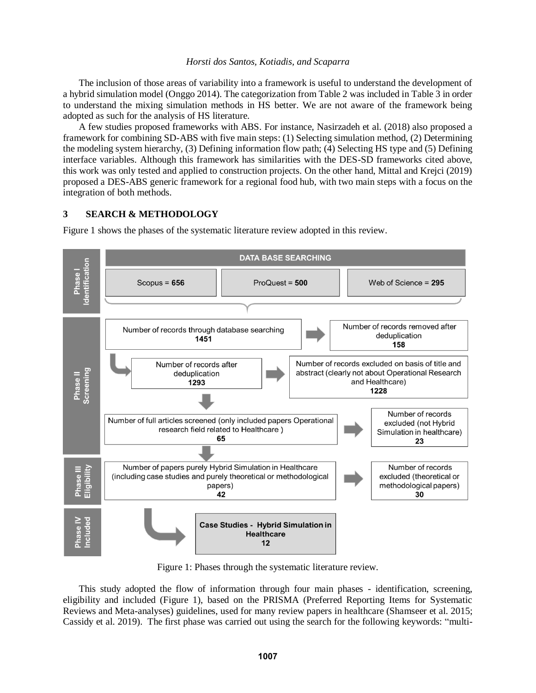The inclusion of those areas of variability into a framework is useful to understand the development of a hybrid simulation model (Onggo 2014). The categorization from Table 2 was included in Table 3 in order to understand the mixing simulation methods in HS better. We are not aware of the framework being adopted as such for the analysis of HS literature.

A few studies proposed frameworks with ABS. For instance, Nasirzadeh et al. (2018) also proposed a framework for combining SD-ABS with five main steps: (1) Selecting simulation method, (2) Determining the modeling system hierarchy, (3) Defining information flow path; (4) Selecting HS type and (5) Defining interface variables. Although this framework has similarities with the DES-SD frameworks cited above, this work was only tested and applied to construction projects. On the other hand, Mittal and Krejci (2019) proposed a DES-ABS generic framework for a regional food hub, with two main steps with a focus on the integration of both methods.

# **3 SEARCH & METHODOLOGY**

Figure 1 shows the phases of the systematic literature review adopted in this review.



Figure 1: Phases through the systematic literature review.

This study adopted the flow of information through four main phases - identification, screening, eligibility and included (Figure 1), based on the PRISMA (Preferred Reporting Items for Systematic Reviews and Meta-analyses) guidelines, used for many review papers in healthcare (Shamseer et al. 2015; Cassidy et al. 2019). The first phase was carried out using the search for the following keywords: "multi-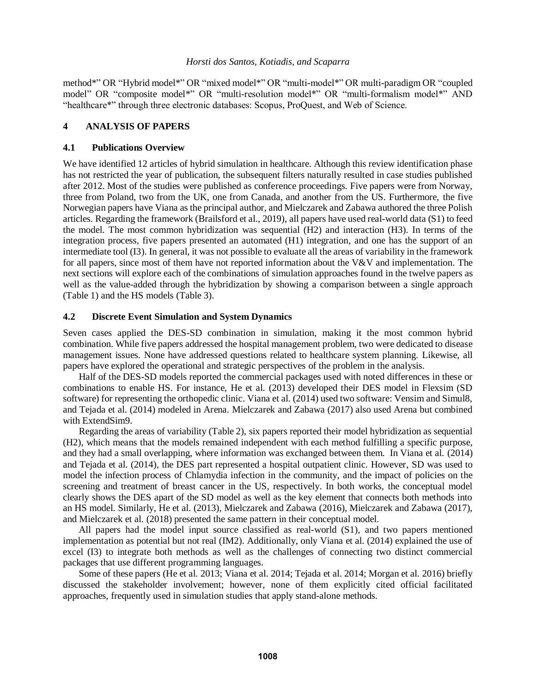method\*" OR "Hybrid model\*" OR "mixed model\*" OR "multi-model\*" OR multi-paradigm OR "coupled model" OR "composite model\*" OR "multi-resolution model\*" OR "multi-formalism model\*" AND "healthcare\*" through three electronic databases: Scopus, ProQuest, and Web of Science.

## **4 ANALYSIS OF PAPERS**

### **4.1 Publications Overview**

We have identified 12 articles of hybrid simulation in healthcare. Although this review identification phase has not restricted the year of publication, the subsequent filters naturally resulted in case studies published after 2012. Most of the studies were published as conference proceedings. Five papers were from Norway, three from Poland, two from the UK, one from Canada, and another from the US. Furthermore, the five Norwegian papers have Viana as the principal author, and Mielczarek and Zabawa authored the three Polish articles. Regarding the framework (Brailsford et al., 2019), all papers have used real-world data (S1) to feed the model. The most common hybridization was sequential (H2) and interaction (H3). In terms of the integration process, five papers presented an automated (H1) integration, and one has the support of an intermediate tool (I3). In general, it was not possible to evaluate all the areas of variability in the framework for all papers, since most of them have not reported information about the V&V and implementation. The next sections will explore each of the combinations of simulation approaches found in the twelve papers as well as the value-added through the hybridization by showing a comparison between a single approach (Table 1) and the HS models (Table 3).

## **4.2 Discrete Event Simulation and System Dynamics**

Seven cases applied the DES-SD combination in simulation, making it the most common hybrid combination. While five papers addressed the hospital management problem, two were dedicated to disease management issues. None have addressed questions related to healthcare system planning. Likewise, all papers have explored the operational and strategic perspectives of the problem in the analysis.

Half of the DES-SD models reported the commercial packages used with noted differences in these or combinations to enable HS. For instance, He et al. (2013) developed their DES model in Flexsim (SD software) for representing the orthopedic clinic. Viana et al. (2014) used two software: Vensim and Simul8, and Tejada et al. (2014) modeled in Arena. Mielczarek and Zabawa (2017) also used Arena but combined with ExtendSim9.

Regarding the areas of variability (Table 2), six papers reported their model hybridization as sequential (H2), which means that the models remained independent with each method fulfilling a specific purpose, and they had a small overlapping, where information was exchanged between them. In Viana et al. (2014) and Tejada et al. (2014), the DES part represented a hospital outpatient clinic. However, SD was used to model the infection process of Chlamydia infection in the community, and the impact of policies on the screening and treatment of breast cancer in the US, respectively. In both works, the conceptual model clearly shows the DES apart of the SD model as well as the key element that connects both methods into an HS model. Similarly, He et al. (2013), Mielczarek and Zabawa (2016), Mielczarek and Zabawa (2017), and Mielczarek et al. (2018) presented the same pattern in their conceptual model.

All papers had the model input source classified as real-world (S1), and two papers mentioned implementation as potential but not real (IM2). Additionally, only Viana et al. (2014) explained the use of excel (I3) to integrate both methods as well as the challenges of connecting two distinct commercial packages that use different programming languages.

Some of these papers (He et al. 2013; Viana et al. 2014; Tejada et al. 2014; Morgan et al. 2016) briefly discussed the stakeholder involvement; however, none of them explicitly cited official facilitated approaches, frequently used in simulation studies that apply stand-alone methods.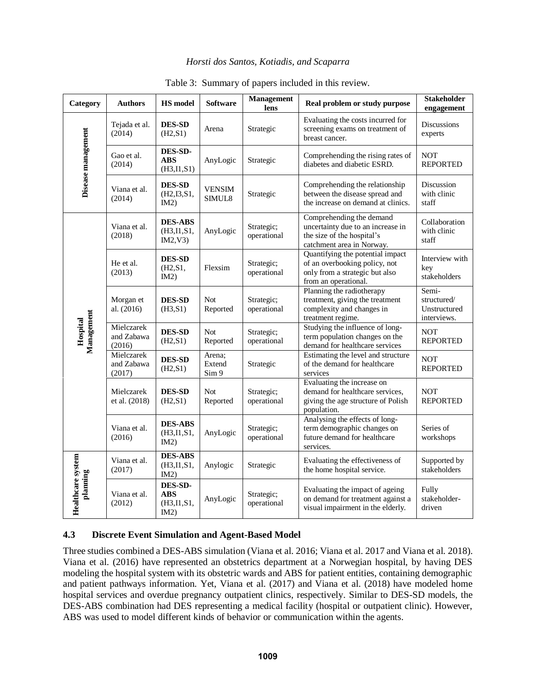| Category                      | <b>Authors</b>                     | <b>HS</b> model                               | <b>Software</b>           | Management<br>lens        | Real problem or study purpose                                                                                               | <b>Stakeholder</b><br>engagement                    |
|-------------------------------|------------------------------------|-----------------------------------------------|---------------------------|---------------------------|-----------------------------------------------------------------------------------------------------------------------------|-----------------------------------------------------|
| Disease management            | Tejada et al.<br>(2014)            | <b>DES-SD</b><br>(H2,S1)                      | Arena                     | Strategic                 | Evaluating the costs incurred for<br>screening exams on treatment of<br>breast cancer.                                      | <b>Discussions</b><br>experts                       |
|                               | Gao et al.<br>(2014)               | DES-SD-<br><b>ABS</b><br>(H3, I1, S1)         | AnyLogic                  | Strategic                 | Comprehending the rising rates of<br>diabetes and diabetic ESRD.                                                            | <b>NOT</b><br><b>REPORTED</b>                       |
|                               | Viana et al.<br>(2014)             | <b>DES-SD</b><br>(H2,I3,S1,<br>IM2)           | <b>VENSIM</b><br>SIMUL8   | Strategic                 | Comprehending the relationship<br>between the disease spread and<br>the increase on demand at clinics.                      | Discussion<br>with clinic<br>staff                  |
| Management<br>Hospital        | Viana et al.<br>(2018)             | <b>DES-ABS</b><br>(H3, I1, S1,<br>IM2, V3)    | AnyLogic                  | Strategic;<br>operational | Comprehending the demand<br>uncertainty due to an increase in<br>the size of the hospital's<br>catchment area in Norway.    | Collaboration<br>with clinic<br>staff               |
|                               | He et al.<br>(2013)                | <b>DES-SD</b><br>(H2,S1,<br>IM2)              | Flexsim                   | Strategic;<br>operational | Quantifying the potential impact<br>of an overbooking policy, not<br>only from a strategic but also<br>from an operational. | Interview with<br>key<br>stakeholders               |
|                               | Morgan et<br>al. (2016)            | <b>DES-SD</b><br>(H3, S1)                     | Not<br>Reported           | Strategic;<br>operational | Planning the radiotherapy<br>treatment, giving the treatment<br>complexity and changes in<br>treatment regime.              | Semi-<br>structured/<br>Unstructured<br>interviews. |
|                               | Mielczarek<br>and Zabawa<br>(2016) | <b>DES-SD</b><br>(H2,S1)                      | <b>Not</b><br>Reported    | Strategic;<br>operational | Studying the influence of long-<br>term population changes on the<br>demand for healthcare services                         | <b>NOT</b><br><b>REPORTED</b>                       |
|                               | Mielczarek<br>and Zabawa<br>(2017) | <b>DES-SD</b><br>(H2,S1)                      | Arena;<br>Extend<br>Sim 9 | Strategic                 | Estimating the level and structure<br>of the demand for healthcare<br>services                                              | <b>NOT</b><br><b>REPORTED</b>                       |
|                               | Mielczarek<br>et al. (2018)        | <b>DES-SD</b><br>(H2, S1)                     | Not<br>Reported           | Strategic;<br>operational | Evaluating the increase on<br>demand for healthcare services,<br>giving the age structure of Polish<br>population.          | <b>NOT</b><br><b>REPORTED</b>                       |
|                               | Viana et al.<br>(2016)             | <b>DES-ABS</b><br>(H3, I1, S1,<br>IM2)        | AnyLogic                  | Strategic;<br>operational | Analysing the effects of long-<br>term demographic changes on<br>future demand for healthcare<br>services.                  | Series of<br>workshops                              |
| Healthcare system<br>planning | Viana et al.<br>(2017)             | <b>DES-ABS</b><br>(H3, I1, S1,<br>IM2)        | Anylogic                  | Strategic                 | Evaluating the effectiveness of<br>the home hospital service.                                                               | Supported by<br>stakeholders                        |
|                               | Viana et al.<br>(2012)             | DES-SD-<br><b>ABS</b><br>(H3, I1, S1,<br>IM2) | AnyLogic                  | Strategic;<br>operational | Evaluating the impact of ageing<br>on demand for treatment against a<br>visual impairment in the elderly.                   | Fully<br>stakeholder-<br>driven                     |

## Table 3: Summary of papers included in this review.

# **4.3 Discrete Event Simulation and Agent-Based Model**

Three studies combined a DES-ABS simulation (Viana et al. 2016; Viana et al. 2017 and Viana et al. 2018). Viana et al. (2016) have represented an obstetrics department at a Norwegian hospital, by having DES modeling the hospital system with its obstetric wards and ABS for patient entities, containing demographic and patient pathways information. Yet, Viana et al. (2017) and Viana et al. (2018) have modeled home hospital services and overdue pregnancy outpatient clinics, respectively. Similar to DES-SD models, the DES-ABS combination had DES representing a medical facility (hospital or outpatient clinic). However, ABS was used to model different kinds of behavior or communication within the agents.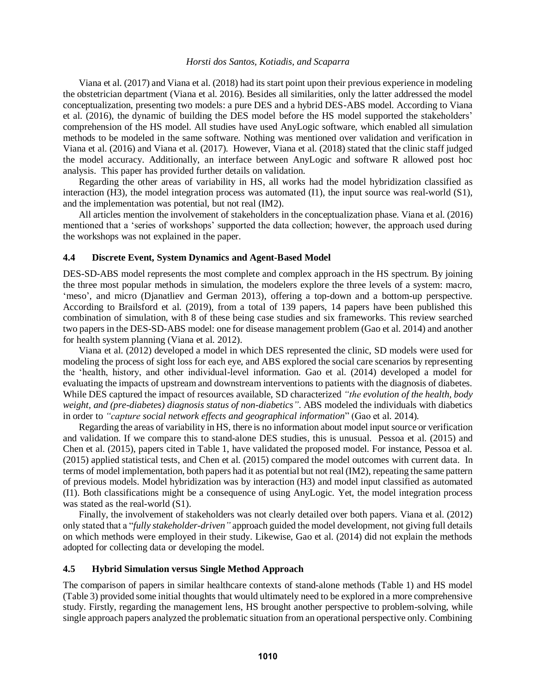Viana et al. (2017) and Viana et al. (2018) had its start point upon their previous experience in modeling the obstetrician department (Viana et al. 2016). Besides all similarities, only the latter addressed the model conceptualization, presenting two models: a pure DES and a hybrid DES-ABS model. According to Viana et al. (2016), the dynamic of building the DES model before the HS model supported the stakeholders' comprehension of the HS model. All studies have used AnyLogic software, which enabled all simulation methods to be modeled in the same software. Nothing was mentioned over validation and verification in Viana et al. (2016) and Viana et al. (2017). However, Viana et al. (2018) stated that the clinic staff judged the model accuracy. Additionally, an interface between AnyLogic and software R allowed post hoc analysis. This paper has provided further details on validation.

Regarding the other areas of variability in HS, all works had the model hybridization classified as interaction (H3), the model integration process was automated (I1), the input source was real-world (S1), and the implementation was potential, but not real (IM2).

All articles mention the involvement of stakeholders in the conceptualization phase. Viana et al. (2016) mentioned that a 'series of workshops' supported the data collection; however, the approach used during the workshops was not explained in the paper.

#### **4.4 Discrete Event, System Dynamics and Agent-Based Model**

DES-SD-ABS model represents the most complete and complex approach in the HS spectrum. By joining the three most popular methods in simulation, the modelers explore the three levels of a system: macro, 'meso', and micro (Djanatliev and German 2013), offering a top-down and a bottom-up perspective. According to Brailsford et al. (2019), from a total of 139 papers, 14 papers have been published this combination of simulation, with 8 of these being case studies and six frameworks. This review searched two papers in the DES-SD-ABS model: one for disease management problem (Gao et al. 2014) and another for health system planning (Viana et al. 2012).

Viana et al. (2012) developed a model in which DES represented the clinic, SD models were used for modeling the process of sight loss for each eye, and ABS explored the social care scenarios by representing the 'health, history, and other individual-level information. Gao et al. (2014) developed a model for evaluating the impacts of upstream and downstream interventions to patients with the diagnosis of diabetes. While DES captured the impact of resources available, SD characterized *"the evolution of the health, body weight, and (pre-diabetes) diagnosis status of non-diabetics"*. ABS modeled the individuals with diabetics in order to *"capture social network effects and geographical information*" (Gao et al. 2014).

Regarding the areas of variability in HS, there is no information about model input source or verification and validation. If we compare this to stand-alone DES studies, this is unusual. Pessoa et al. (2015) and Chen et al. (2015), papers cited in Table 1, have validated the proposed model. For instance, Pessoa et al. (2015) applied statistical tests, and Chen et al. (2015) compared the model outcomes with current data. In terms of model implementation, both papers had it as potential but not real (IM2), repeating the same pattern of previous models. Model hybridization was by interaction (H3) and model input classified as automated (I1). Both classifications might be a consequence of using AnyLogic. Yet, the model integration process was stated as the real-world (S1).

Finally, the involvement of stakeholders was not clearly detailed over both papers. Viana et al. (2012) only stated that a "*fully stakeholder-driven"* approach guided the model development, not giving full details on which methods were employed in their study. Likewise, Gao et al. (2014) did not explain the methods adopted for collecting data or developing the model.

## **4.5 Hybrid Simulation versus Single Method Approach**

The comparison of papers in similar healthcare contexts of stand-alone methods (Table 1) and HS model (Table 3) provided some initial thoughts that would ultimately need to be explored in a more comprehensive study. Firstly, regarding the management lens, HS brought another perspective to problem-solving, while single approach papers analyzed the problematic situation from an operational perspective only. Combining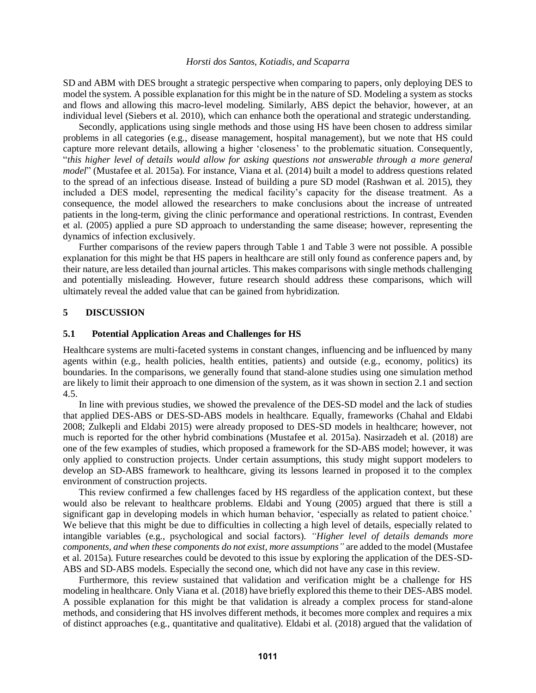SD and ABM with DES brought a strategic perspective when comparing to papers, only deploying DES to model the system. A possible explanation for this might be in the nature of SD. Modeling a system as stocks and flows and allowing this macro-level modeling. Similarly, ABS depict the behavior, however, at an individual level (Siebers et al. 2010), which can enhance both the operational and strategic understanding.

Secondly, applications using single methods and those using HS have been chosen to address similar problems in all categories (e.g., disease management, hospital management), but we note that HS could capture more relevant details, allowing a higher 'closeness' to the problematic situation. Consequently, "*this higher level of details would allow for asking questions not answerable through a more general model*" (Mustafee et al. 2015a). For instance, Viana et al. (2014) built a model to address questions related to the spread of an infectious disease. Instead of building a pure SD model (Rashwan et al. 2015), they included a DES model, representing the medical facility's capacity for the disease treatment. As a consequence, the model allowed the researchers to make conclusions about the increase of untreated patients in the long-term, giving the clinic performance and operational restrictions. In contrast, Evenden et al. (2005) applied a pure SD approach to understanding the same disease; however, representing the dynamics of infection exclusively.

Further comparisons of the review papers through Table 1 and Table 3 were not possible. A possible explanation for this might be that HS papers in healthcare are still only found as conference papers and, by their nature, are less detailed than journal articles. This makes comparisons with single methods challenging and potentially misleading. However, future research should address these comparisons, which will ultimately reveal the added value that can be gained from hybridization.

## **5 DISCUSSION**

#### **5.1 Potential Application Areas and Challenges for HS**

Healthcare systems are multi-faceted systems in constant changes, influencing and be influenced by many agents within (e.g., health policies, health entities, patients) and outside (e.g., economy, politics) its boundaries. In the comparisons, we generally found that stand-alone studies using one simulation method are likely to limit their approach to one dimension of the system, as it was shown in section 2.1 and section 4.5.

In line with previous studies, we showed the prevalence of the DES-SD model and the lack of studies that applied DES-ABS or DES-SD-ABS models in healthcare. Equally, frameworks (Chahal and Eldabi 2008; Zulkepli and Eldabi 2015) were already proposed to DES-SD models in healthcare; however, not much is reported for the other hybrid combinations (Mustafee et al. 2015a). Nasirzadeh et al. (2018) are one of the few examples of studies, which proposed a framework for the SD-ABS model; however, it was only applied to construction projects. Under certain assumptions, this study might support modelers to develop an SD-ABS framework to healthcare, giving its lessons learned in proposed it to the complex environment of construction projects.

This review confirmed a few challenges faced by HS regardless of the application context, but these would also be relevant to healthcare problems. Eldabi and Young (2005) argued that there is still a significant gap in developing models in which human behavior, 'especially as related to patient choice.' We believe that this might be due to difficulties in collecting a high level of details, especially related to intangible variables (e.g., psychological and social factors). *"Higher level of details demands more components, and when these components do not exist, more assumptions"* are added to the model (Mustafee et al. 2015a). Future researches could be devoted to this issue by exploring the application of the DES-SD-ABS and SD-ABS models. Especially the second one, which did not have any case in this review.

Furthermore, this review sustained that validation and verification might be a challenge for HS modeling in healthcare. Only Viana et al. (2018) have briefly explored this theme to their DES-ABS model. A possible explanation for this might be that validation is already a complex process for stand-alone methods, and considering that HS involves different methods, it becomes more complex and requires a mix of distinct approaches (e.g., quantitative and qualitative). Eldabi et al. (2018) argued that the validation of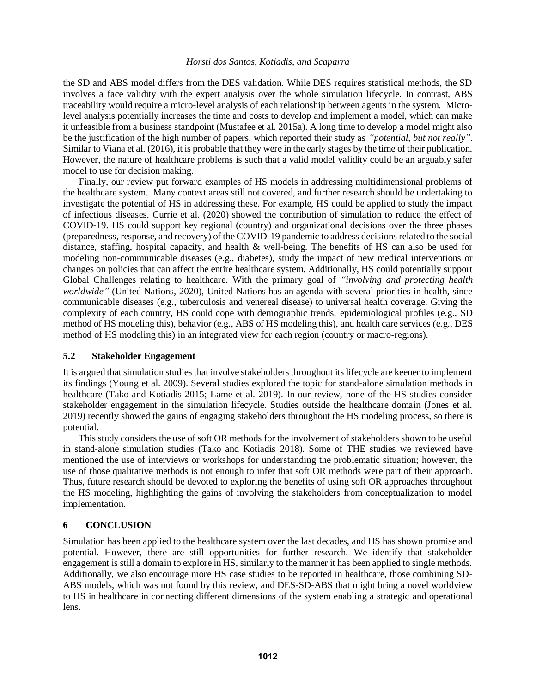the SD and ABS model differs from the DES validation. While DES requires statistical methods, the SD involves a face validity with the expert analysis over the whole simulation lifecycle. In contrast, ABS traceability would require a micro-level analysis of each relationship between agents in the system. Microlevel analysis potentially increases the time and costs to develop and implement a model, which can make it unfeasible from a business standpoint (Mustafee et al. 2015a). A long time to develop a model might also be the justification of the high number of papers, which reported their study as *"potential, but not really"*. Similar to Viana et al. (2016), it is probable that they were in the early stages by the time of their publication. However, the nature of healthcare problems is such that a valid model validity could be an arguably safer model to use for decision making.

Finally, our review put forward examples of HS models in addressing multidimensional problems of the healthcare system. Many context areas still not covered, and further research should be undertaking to investigate the potential of HS in addressing these. For example, HS could be applied to study the impact of infectious diseases. Currie et al. (2020) showed the contribution of simulation to reduce the effect of COVID-19. HS could support key regional (country) and organizational decisions over the three phases (preparedness, response, and recovery) of the COVID-19 pandemic to address decisions related to the social distance, staffing, hospital capacity, and health & well-being. The benefits of HS can also be used for modeling non-communicable diseases (e.g., diabetes), study the impact of new medical interventions or changes on policies that can affect the entire healthcare system. Additionally, HS could potentially support Global Challenges relating to healthcare. With the primary goal of *"involving and protecting health worldwide"* (United Nations, 2020), United Nations has an agenda with several priorities in health, since communicable diseases (e.g., tuberculosis and venereal disease) to universal health coverage. Giving the complexity of each country, HS could cope with demographic trends, epidemiological profiles (e.g., SD method of HS modeling this), behavior (e.g., ABS of HS modeling this), and health care services (e.g., DES method of HS modeling this) in an integrated view for each region (country or macro-regions).

### **5.2 Stakeholder Engagement**

It is argued that simulation studies that involve stakeholders throughout its lifecycle are keener to implement its findings (Young et al. 2009). Several studies explored the topic for stand-alone simulation methods in healthcare (Tako and Kotiadis 2015; Lame et al. 2019). In our review, none of the HS studies consider stakeholder engagement in the simulation lifecycle. Studies outside the healthcare domain (Jones et al. 2019) recently showed the gains of engaging stakeholders throughout the HS modeling process, so there is potential.

This study considers the use of soft OR methods for the involvement of stakeholders shown to be useful in stand-alone simulation studies (Tako and Kotiadis 2018). Some of THE studies we reviewed have mentioned the use of interviews or workshops for understanding the problematic situation; however, the use of those qualitative methods is not enough to infer that soft OR methods were part of their approach. Thus, future research should be devoted to exploring the benefits of using soft OR approaches throughout the HS modeling, highlighting the gains of involving the stakeholders from conceptualization to model implementation.

# **6 CONCLUSION**

Simulation has been applied to the healthcare system over the last decades, and HS has shown promise and potential. However, there are still opportunities for further research. We identify that stakeholder engagement is still a domain to explore in HS, similarly to the manner it has been applied to single methods. Additionally, we also encourage more HS case studies to be reported in healthcare, those combining SD-ABS models, which was not found by this review, and DES-SD-ABS that might bring a novel worldview to HS in healthcare in connecting different dimensions of the system enabling a strategic and operational lens.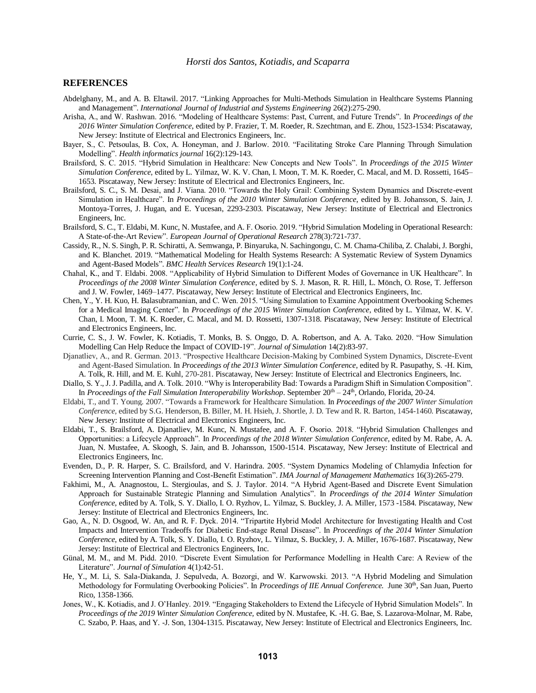#### **REFERENCES**

- Abdelghany, M., and A. B. Eltawil. 2017. "Linking Approaches for Multi-Methods Simulation in Healthcare Systems Planning and Management". *International Journal of Industrial and Systems Engineering* 26(2):275-290.
- Arisha, A., and W. Rashwan. 2016. "Modeling of Healthcare Systems: Past, Current, and Future Trends". In *Proceedings of the 2016 Winter Simulation Conference*, edited by P. Frazier, T. M. Roeder, R. Szechtman, and E. Zhou, 1523-1534: Piscataway, New Jersey: Institute of Electrical and Electronics Engineers, Inc.
- Bayer, S., C. Petsoulas, B. Cox, A. Honeyman, and J. Barlow. 2010. "Facilitating Stroke Care Planning Through Simulation Modelling". *Health informatics journal* 16(2):129-143.
- Brailsford, S. C. 2015. "Hybrid Simulation in Healthcare: New Concepts and New Tools". In *Proceedings of the 2015 Winter Simulation Conference*, edited by L. Yilmaz, W. K. V. Chan, I. Moon, T. M. K. Roeder, C. Macal, and M. D. Rossetti, 1645– 1653. Piscataway, New Jersey: Institute of Electrical and Electronics Engineers, Inc.
- Brailsford, S. C., S. M. Desai, and J. Viana. 2010. "Towards the Holy Grail: Combining System Dynamics and Discrete-event Simulation in Healthcare". In *Proceedings of the 2010 Winter Simulation Conference*, edited by B. Johansson, S. Jain, J. Montoya-Torres, J. Hugan, and E. Yucesan, 2293-2303. Piscataway, New Jersey: Institute of Electrical and Electronics Engineers, Inc.
- Brailsford, S. C., T. Eldabi, M. Kunc, N. Mustafee, and A. F. Osorio. 2019. "Hybrid Simulation Modeling in Operational Research: A State-of-the-Art Review". *European Journal of Operational Research* 278(3):721-737.
- Cassidy, R., N. S. Singh, P. R. Schiratti, A. Semwanga, P. Binyaruka, N. Sachingongu, C. M. Chama-Chiliba, Z. Chalabi, J. Borghi, and K. Blanchet. 2019. "Mathematical Modeling for Health Systems Research: A Systematic Review of System Dynamics and Agent-Based Models". *BMC Health Services Research* 19(1):1-24.
- Chahal, K., and T. Eldabi. 2008. "Applicability of Hybrid Simulation to Different Modes of Governance in UK Healthcare". In *Proceedings of the 2008 Winter Simulation Conference*, edited by S. J. Mason, R. R. Hill, L. Mönch, O. Rose, T. Jefferson and J. W. Fowler, 1469–1477. Piscataway, New Jersey: Institute of Electrical and Electronics Engineers, Inc.
- Chen, Y., Y. H. Kuo, H. Balasubramanian, and C. Wen. 2015. "Using Simulation to Examine Appointment Overbooking Schemes for a Medical Imaging Center". In *Proceedings of the 2015 Winter Simulation Conference*, edited by L. Yilmaz, W. K. V. Chan, I. Moon, T. M. K. Roeder, C. Macal, and M. D. Rossetti, 1307-1318. Piscataway, New Jersey: Institute of Electrical and Electronics Engineers, Inc.
- Currie, C. S., J. W. Fowler, K. Kotiadis, T. Monks, B. S. Onggo, D. A. Robertson, and A. A. Tako. 2020. "How Simulation Modelling Can Help Reduce the Impact of COVID-19". *Journal of Simulation* 14(2):83-97.
- Djanatliev, A., and R. German. 2013. "Prospective Healthcare Decision-Making by Combined System Dynamics, Discrete-Event and Agent-Based Simulation. In *Proceedings of the 2013 Winter Simulation Conference*, edited by R. Pasupathy, S. -H. Kim, A. Tolk, R. Hill, and M. E. Kuhl, 270-281. Piscataway, New Jersey: Institute of Electrical and Electronics Engineers, Inc.
- Diallo, S. Y., J. J. Padilla, and A. Tolk. 2010. "Why is Interoperability Bad: Towards a Paradigm Shift in Simulation Composition". In *Proceedings of the Fall Simulation Interoperability Workshop*. September  $20^{th} - 24^{th}$ , Orlando, Florida, 20-24.
- Eldabi, T., and T. Young. 2007. "Towards a Framework for Healthcare Simulation. In *Proceedings of the 2007 Winter Simulation Conference,* edited by S.G. Henderson, B. Biller, M. H. Hsieh, J. Shortle, J. D. Tew and R. R. Barton, 1454-1460. Piscataway, New Jersey: Institute of Electrical and Electronics Engineers, Inc.
- Eldabi, T., S. Brailsford, A. Djanatliev, M. Kunc, N. Mustafee, and A. F. Osorio. 2018. "Hybrid Simulation Challenges and Opportunities: a Lifecycle Approach". In *Proceedings of the 2018 Winter Simulation Conference*, edited by M. Rabe, A. A. Juan, N. Mustafee, A. Skoogh, S. Jain, and B. Johansson, 1500-1514. Piscataway, New Jersey: Institute of Electrical and Electronics Engineers, Inc.
- Evenden, D., P. R. Harper, S. C. Brailsford, and V. Harindra. 2005. "System Dynamics Modeling of Chlamydia Infection for Screening Intervention Planning and Cost-Benefit Estimation". *IMA Journal of Management Mathematics* 16(3):265-279.
- Fakhimi, M., A. Anagnostou, L. Stergioulas, and S. J. Taylor. 2014. "A Hybrid Agent-Based and Discrete Event Simulation Approach for Sustainable Strategic Planning and Simulation Analytics". In *Proceedings of the 2014 Winter Simulation Conference*, edited by A. Tolk, S. Y. Diallo, I. O. Ryzhov, L. Yilmaz, S. Buckley, J. A. Miller, 1573 -1584. Piscataway, New Jersey: Institute of Electrical and Electronics Engineers, Inc.
- Gao, A., N. D. Osgood, W. An, and R. F. Dyck. 2014. "Tripartite Hybrid Model Architecture for Investigating Health and Cost Impacts and Intervention Tradeoffs for Diabetic End-stage Renal Disease". In *Proceedings of the 2014 Winter Simulation Conference*, edited by A. Tolk, S. Y. Diallo, I. O. Ryzhov, L. Yilmaz, S. Buckley, J. A. Miller, 1676-1687. Piscataway, New Jersey: Institute of Electrical and Electronics Engineers, Inc.
- Günal, M. M., and M. Pidd. 2010. "Discrete Event Simulation for Performance Modelling in Health Care: A Review of the Literature". *Journal of Simulation* 4(1):42-51.
- He, Y., M. Li, S. Sala-Diakanda, J. Sepulveda, A. Bozorgi, and W. Karwowski. 2013. "A Hybrid Modeling and Simulation Methodology for Formulating Overbooking Policies". In *Proceedings of IIE Annual Conference*. June 30<sup>th</sup>, San Juan, Puerto Rico, 1358-1366.
- Jones, W., K. Kotiadis, and J. O'Hanley. 2019. "Engaging Stakeholders to Extend the Lifecycle of Hybrid Simulation Models". In *Proceedings of the 2019 Winter Simulation Conference,* edited by N. Mustafee, K. -H. G. Bae, S. Lazarova-Molnar, M. Rabe, C. Szabo, P. Haas, and Y. -J. Son, 1304-1315. Piscataway, New Jersey: Institute of Electrical and Electronics Engineers, Inc.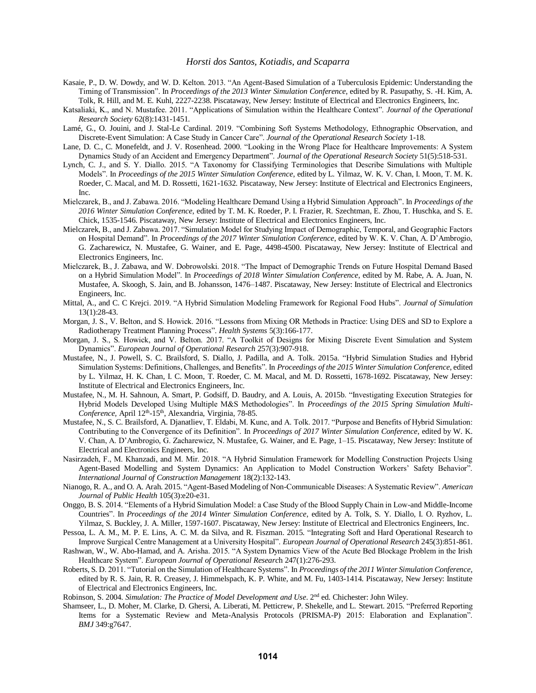- Kasaie, P., D. W. Dowdy, and W. D. Kelton. 2013. "An Agent-Based Simulation of a Tuberculosis Epidemic: Understanding the Timing of Transmission". In *Proceedings of the 2013 Winter Simulation Conference*, edited by R. Pasupathy, S. -H. Kim, A. Tolk, R. Hill, and M. E. Kuhl, 2227-2238. Piscataway, New Jersey: Institute of Electrical and Electronics Engineers, Inc.
- Katsaliaki, K., and N. Mustafee. 2011. "Applications of Simulation within the Healthcare Context". *Journal of the Operational Research Society* 62(8):1431-1451.
- Lamé, G., O. Jouini, and J. Stal-Le Cardinal. 2019. "Combining Soft Systems Methodology, Ethnographic Observation, and Discrete-Event Simulation: A Case Study in Cancer Care". *Journal of the Operational Research Society* 1-18.
- Lane, D. C., C. Monefeldt, and J. V. Rosenhead. 2000. "Looking in the Wrong Place for Healthcare Improvements: A System Dynamics Study of an Accident and Emergency Department". *Journal of the Operational Research Society* 51(5):518-531.
- Lynch, C. J., and S. Y. Diallo. 2015. "A Taxonomy for Classifying Terminologies that Describe Simulations with Multiple Models". In *Proceedings of the 2015 Winter Simulation Conference*, edited by L. Yilmaz, W. K. V. Chan, I. Moon, T. M. K. Roeder, C. Macal, and M. D. Rossetti, 1621-1632. Piscataway, New Jersey: Institute of Electrical and Electronics Engineers, Inc.
- Mielczarek, B., and J. Zabawa. 2016. "Modeling Healthcare Demand Using a Hybrid Simulation Approach". In *Proceedings of the 2016 Winter Simulation Conference*, edited by T. M. K. Roeder, P. I. Frazier, R. Szechtman, E. Zhou, T. Huschka, and S. E. Chick, 1535-1546. Piscataway, New Jersey: Institute of Electrical and Electronics Engineers, Inc.
- Mielczarek, B., and J. Zabawa. 2017. "Simulation Model for Studying Impact of Demographic, Temporal, and Geographic Factors on Hospital Demand". In *Proceedings of the 2017 Winter Simulation Conference*, edited by W. K. V. Chan, A. D'Ambrogio, G. Zacharewicz, N. Mustafee, G. Wainer, and E. Page, 4498-4500. Piscataway, New Jersey: Institute of Electrical and Electronics Engineers, Inc.
- Mielczarek, B., J. Zabawa, and W. Dobrowolski. 2018. "The Impact of Demographic Trends on Future Hospital Demand Based on a Hybrid Simulation Model". In *Proceedings of 2018 Winter Simulation Conference*, edited by M. Rabe, A. A. Juan, N. Mustafee, A. Skoogh, S. Jain, and B. Johansson, 1476–1487. Piscataway, New Jersey: Institute of Electrical and Electronics Engineers, Inc.
- Mittal, A., and C. C Krejci. 2019. "A Hybrid Simulation Modeling Framework for Regional Food Hubs". *Journal of Simulation* 13(1):28-43.
- Morgan, J. S., V. Belton, and S. Howick. 2016. "Lessons from Mixing OR Methods in Practice: Using DES and SD to Explore a Radiotherapy Treatment Planning Process". *Health Systems* 5(3):166-177.
- Morgan, J. S., S. Howick, and V. Belton. 2017. "A Toolkit of Designs for Mixing Discrete Event Simulation and System Dynamics". *European Journal of Operational Research* 257(3):907-918.
- Mustafee, N., J. Powell, S. C. Brailsford, S. Diallo, J. Padilla, and A. Tolk. 2015a. "Hybrid Simulation Studies and Hybrid Simulation Systems: Definitions, Challenges, and Benefits". In *Proceedings of the 2015 Winter Simulation Conference*, edited by L. Yilmaz, H. K. Chan, I. C. Moon, T. Roeder, C. M. Macal, and M. D. Rossetti, 1678-1692. Piscataway, New Jersey: Institute of Electrical and Electronics Engineers, Inc.
- Mustafee, N., M. H. Sahnoun, A. Smart, P. Godsiff, D. Baudry, and A. Louis, A. 2015b. "Investigating Execution Strategies for Hybrid Models Developed Using Multiple M&S Methodologies". In *Proceedings of the 2015 Spring Simulation Multi-*Conference, April 12<sup>th</sup>-15<sup>th</sup>, Alexandria, Virginia, 78-85.
- Mustafee, N., S. C. Brailsford, A. Djanatliev, T. Eldabi, M. Kunc, and A. Tolk. 2017. "Purpose and Benefits of Hybrid Simulation: Contributing to the Convergence of its Definition". In *Proceedings of 2017 Winter Simulation Conference*, edited by W. K. V. Chan, A. D'Ambrogio, G. Zacharewicz, N. Mustafee, G. Wainer, and E. Page, 1–15. Piscataway, New Jersey: Institute of Electrical and Electronics Engineers, Inc.
- Nasirzadeh, F., M. Khanzadi, and M. Mir. 2018. "A Hybrid Simulation Framework for Modelling Construction Projects Using Agent-Based Modelling and System Dynamics: An Application to Model Construction Workers' Safety Behavior". *International Journal of Construction Management* 18(2):132-143.
- Nianogo, R. A., and O. A. Arah. 2015. "Agent-Based Modeling of Non-Communicable Diseases: A Systematic Review". *American Journal of Public Health* 105(3):e20-e31.
- Onggo, B. S. 2014. "Elements of a Hybrid Simulation Model: a Case Study of the Blood Supply Chain in Low-and Middle-Income Countries". In *Proceedings of the 2014 Winter Simulation Conference*, edited by A. Tolk, S. Y. Diallo, I. O. Ryzhov, L. Yilmaz, S. Buckley, J. A. Miller, 1597-1607. Piscataway, New Jersey: Institute of Electrical and Electronics Engineers, Inc.
- Pessoa, L. A. M., M. P. E. Lins, A. C. M. da Silva, and R. Fiszman. 2015. "Integrating Soft and Hard Operational Research to Improve Surgical Centre Management at a University Hospital". *European Journal of Operational Research* 245(3):851-861.
- Rashwan, W., W. Abo-Hamad, and A. Arisha. 2015. "A System Dynamics View of the Acute Bed Blockage Problem in the Irish Healthcare System". *European Journal of Operational Researc*h 247(1):276-293.
- Roberts, S. D. 2011. "Tutorial on the Simulation of Healthcare Systems". In *Proceedings of the 2011 Winter Simulation Conference*, edited by R. S. Jain, R. R. Creasey, J. Himmelspach, K. P. White, and M. Fu, 1403-1414. Piscataway, New Jersey: Institute of Electrical and Electronics Engineers, Inc.

Robinson, S. 2004. *Simulation: The Practice of Model Development and Use*. 2nd ed. Chichester: John Wiley.

Shamseer, L., D. Moher, M. Clarke, D. Ghersi, A. Liberati, M. Petticrew, P. Shekelle, and L. Stewart. 2015. "Preferred Reporting Items for a Systematic Review and Meta-Analysis Protocols (PRISMA-P) 2015: Elaboration and Explanation". *BMJ* 349:g7647.